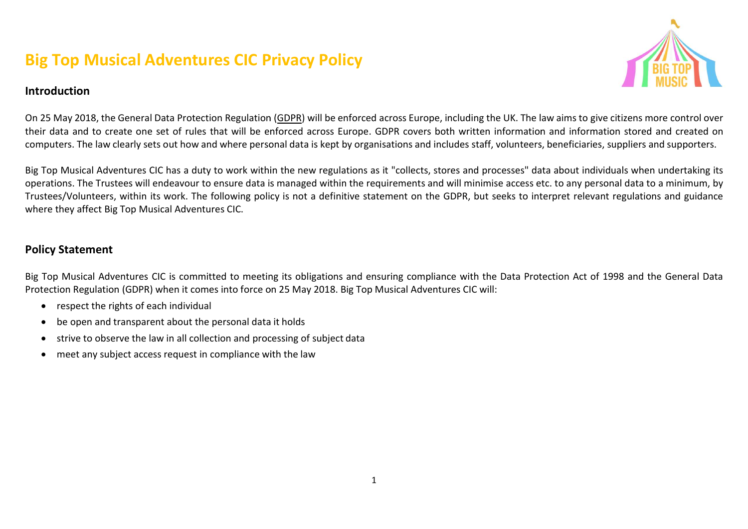# Big Top Musical Adventures CIC Privacy Policy



#### Introduction

On 25 May 2018, the General Data Protection Regulation (GDPR) will be enforced across Europe, including the UK. The law aims to give citizens more control over their data and to create one set of rules that will be enforced across Europe. GDPR covers both written information and infor information stored and created on computers. The law clearly sets out how and where personal data is kept by organisations and includes staff, volunteers, beneficiaries, suppliers and supporters.

Big Top Musical Adventures CIC has a duty to work within the new regulations as it "collects, stores and processes" data about individuals when undertaking its operations. The Trustees will endeavour to ensure data is managed within the requirements and will minimise access etc. to any personal data to a minimum, by Trustees/Volunteers, within its work. The following policy is not a definitive statement on the GDPR, but seeks to interpret relevant regulations and guidance where they affect Big Top Musical Adventures CIC.

#### Policy Statement

Big Top Musical Adventures CIC is committed to meeting its obligations and ensuring compliance with the Data Protection Act of 1998 and the General Data Protection Regulation (GDPR) when it comes into force on 25 May 2018. Big Top Musical Adventures CIC will:

- respect the rights of each individual
- be open and transparent about the personal data it holds
- strive to observe the law in all collection and processing of subject data
- meet any subject access request in compliance with the law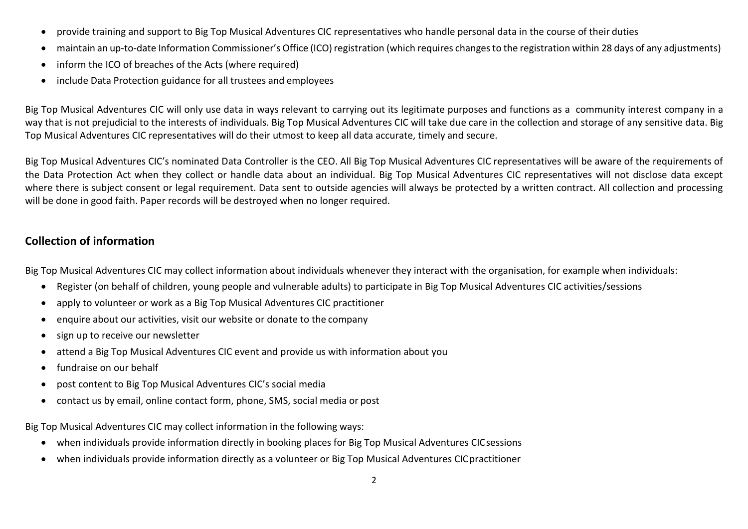- provide training and support to Big Top Musical Adventures CIC representatives who handle personal data in the course of their duties
- maintain an up-to-date Information Commissioner's Office (ICO) registration (which requires changes to the registration within 28 days of any adjustments)
- inform the ICO of breaches of the Acts (where required)
- include Data Protection guidance for all trustees and employees

Big Top Musical Adventures CIC will only use data in ways relevant to carrying out its legitimate purposes and functions as a community interest company in a way that is not prejudicial to the interests of individuals. Big Top Musical Adventures CIC will take due care in the collection and storage of any sensitive data. Big Top Musical Adventures CIC representatives will do their utmost to keep all data accurate, timely and secure.

Big Top Musical Adventures CIC's nominated Data Controller is the CEO. All Big Top Musical Adventures CIC representatives will be aware of the requirements of the Data Protection Act when they collect or handle data about an individual. Big Top Musical Adventures CIC representatives will not disclose data except where there is subject consent or legal requirement. Data sent to outside agencies will always be protected by a written contract. All collection and processing will be done in good faith. Paper records will be destroyed when no longer required.

# Collection of information

Big Top Musical Adventures CIC may collect information about individuals whenever they interact with the organisation, for example when individuals:

- Register (on behalf of children, young people and vulnerable adults) to participate in Big Top Musical Adventures CIC activities/sessions
- apply to volunteer or work as a Big Top Musical Adventures CIC practitioner
- enquire about our activities, visit our website or donate to the company
- sign up to receive our newsletter
- attend a Big Top Musical Adventures CIC event and provide us with information about you
- fundraise on our behalf
- post content to Big Top Musical Adventures CIC's social media
- contact us by email, online contact form, phone, SMS, social media or post

Big Top Musical Adventures CIC may collect information in the following ways:

- when individuals provide information directly in booking places for Big Top Musical Adventures CIC sessions
- when individuals provide information directly as a volunteer or Big Top Musical Adventures CIC practitioner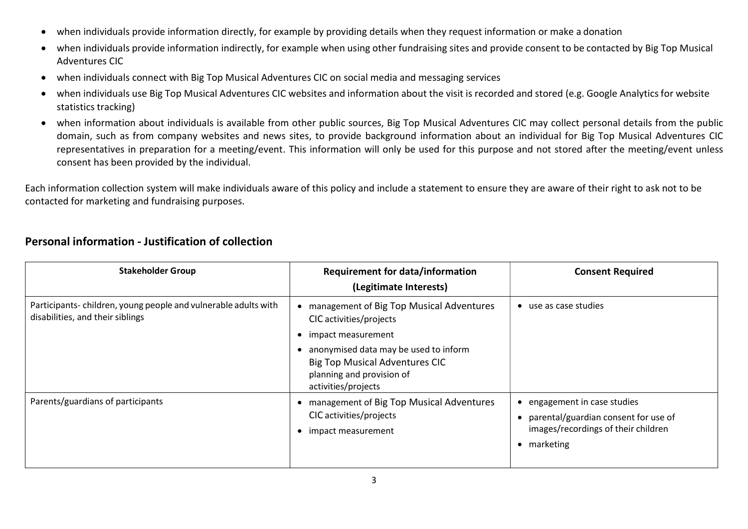- when individuals provide information directly, for example by providing details when they request information or make a donation
- when individuals provide information indirectly, for example when using other fundraising sites and provide consent to be contacted by Big Top Musical Adventures CIC
- when individuals connect with Big Top Musical Adventures CIC on social media and messaging services
- when individuals use Big Top Musical Adventures CIC websites and information about the visit is recorded and stored (e.g. Google Analytics for website statistics tracking)
- when information about individuals is available from other public sources, Big Top Musical Adventures CIC may collect personal details from the public domain, such as from company websites and news sites, to provide background information about an individual for Big Top Musical Adventures CIC representatives in preparation for a meeting/event. This information will only be used for this purpose and not stored after the meeting/event unless consent has been provided by the individual.

Each information collection system will make individuals aware of this policy and include a statement to ensure they are aware of their right to ask not to be contacted for marketing and fundraising purposes.

| <b>Stakeholder Group</b>                                                                           | <b>Requirement for data/information</b><br>(Legitimate Interests)                                                                                                                                                               | <b>Consent Required</b>                                                                                                |
|----------------------------------------------------------------------------------------------------|---------------------------------------------------------------------------------------------------------------------------------------------------------------------------------------------------------------------------------|------------------------------------------------------------------------------------------------------------------------|
| Participants-children, young people and vulnerable adults with<br>disabilities, and their siblings | management of Big Top Musical Adventures<br>CIC activities/projects<br>impact measurement<br>anonymised data may be used to inform<br><b>Big Top Musical Adventures CIC</b><br>planning and provision of<br>activities/projects | use as case studies                                                                                                    |
| Parents/guardians of participants                                                                  | management of Big Top Musical Adventures<br>CIC activities/projects<br>impact measurement                                                                                                                                       | engagement in case studies<br>parental/guardian consent for use of<br>images/recordings of their children<br>marketing |

# Personal information - Justification of collection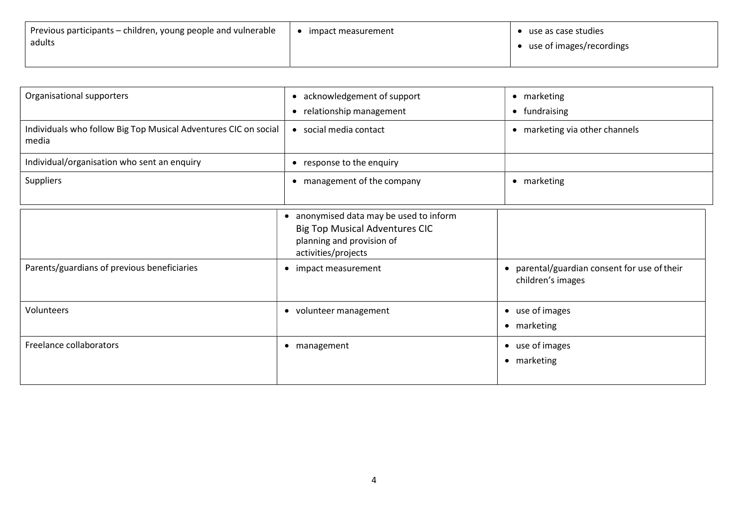| Previous participants – children, young people and vulnerable | impact measurement | • use as case studies      |
|---------------------------------------------------------------|--------------------|----------------------------|
| adults                                                        |                    | • use of images/recordings |
|                                                               |                    |                            |

| Organisational supporters                                                | • acknowledgement of support                                                                                                       | • marketing                                                       |
|--------------------------------------------------------------------------|------------------------------------------------------------------------------------------------------------------------------------|-------------------------------------------------------------------|
|                                                                          | • relationship management                                                                                                          | fundraising<br>$\bullet$                                          |
| Individuals who follow Big Top Musical Adventures CIC on social<br>media | • social media contact                                                                                                             | marketing via other channels<br>$\bullet$                         |
| Individual/organisation who sent an enquiry                              | • response to the enquiry                                                                                                          |                                                                   |
| Suppliers                                                                | • management of the company                                                                                                        | marketing<br>$\bullet$                                            |
|                                                                          | anonymised data may be used to inform<br><b>Big Top Musical Adventures CIC</b><br>planning and provision of<br>activities/projects |                                                                   |
| Parents/guardians of previous beneficiaries                              | • impact measurement                                                                                                               | • parental/guardian consent for use of their<br>children's images |
| Volunteers                                                               | • volunteer management                                                                                                             | • use of images<br>• marketing                                    |
| Freelance collaborators                                                  | • management                                                                                                                       | • use of images<br>• marketing                                    |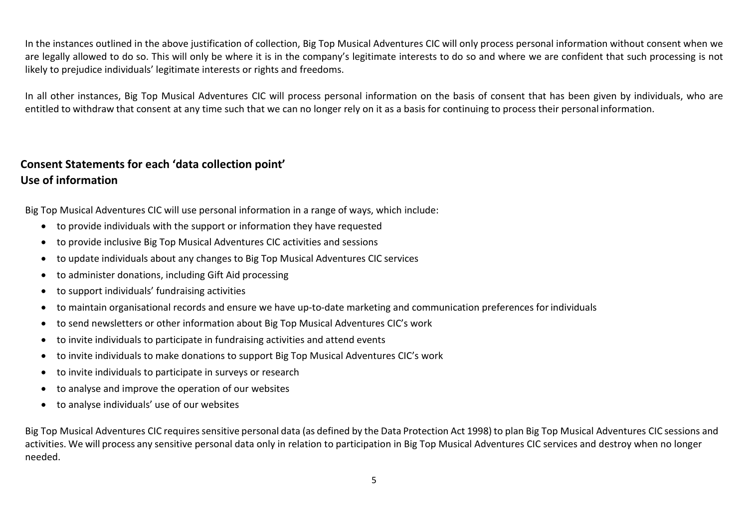In the instances outlined in the above justification of collection, Big Top Musical Adventures CIC will only process personal information without consent when we are legally allowed to do so. This will only be where it is in the company's legitimate interests to do so and where we are confident that such processing is not likely to prejudice individuals' legitimate interests or rights and freedoms.

In all other instances, Big Top Musical Adventures CIC will process personal information on the basis of consent that has been given by individuals, who are entitled to withdraw that consent at any time such that we can no longer rely on it as a basis for continuing to process their personal information.

# Consent Statements for each 'data collection point' Use of information

Big Top Musical Adventures CIC will use personal information in a range of ways, which include:

- to provide individuals with the support or information they have requested
- to provide inclusive Big Top Musical Adventures CIC activities and sessions
- to update individuals about any changes to Big Top Musical Adventures CIC services
- to administer donations, including Gift Aid processing
- to support individuals' fundraising activities
- to maintain organisational records and ensure we have up-to-date marketing and communication preferences for individuals
- to send newsletters or other information about Big Top Musical Adventures CIC's work
- to invite individuals to participate in fundraising activities and attend events
- to invite individuals to make donations to support Big Top Musical Adventures CIC's work
- to invite individuals to participate in surveys or research
- to analyse and improve the operation of our websites
- to analyse individuals' use of our websites

Big Top Musical Adventures CIC requires sensitive personal data (as defined by the Data Protection Act 1998) to plan Big Top Musical Adventures CIC sessions and activities. We will process any sensitive personal data only in relation to participation in Big Top Musical Adventures CIC services and destroy when no longer needed.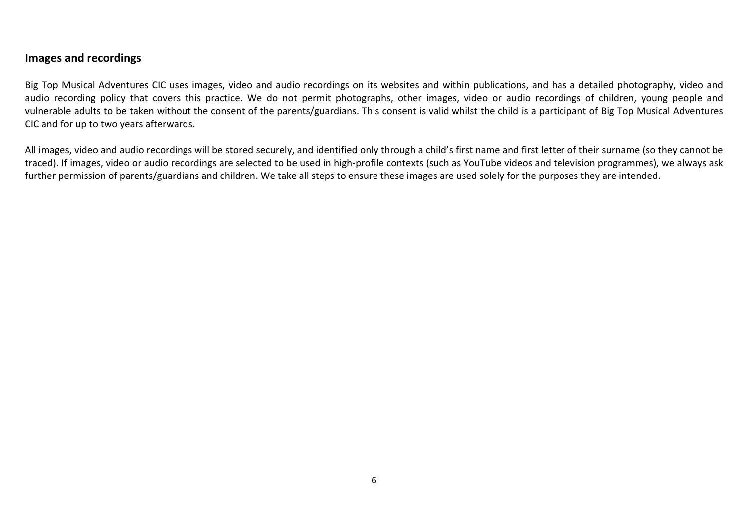#### Images and recordings

Big Top Musical Adventures CIC uses images, video and audio recordings on its websites and within publications, and has a detailed photography, video and audio recording policy that covers this practice. We do not permit photographs, other images, video or audio recordings of children, young people and vulnerable adults to be taken without the consent of the parents/guardians. This consent is valid whilst the child is a participant of Big Top Musical Adventures CIC and for up to two years afterwards.

All images, video and audio recordings will be stored securely, and identified only through a child's first name and first letter of their surname (so they cannot be traced). If images, video or audio recordings are selected to be used in high-profile contexts (such as YouTube videos and television programmes), we always ask further permission of parents/guardians and children. We take all steps to ensure these images are used solely for the purposes they are intended.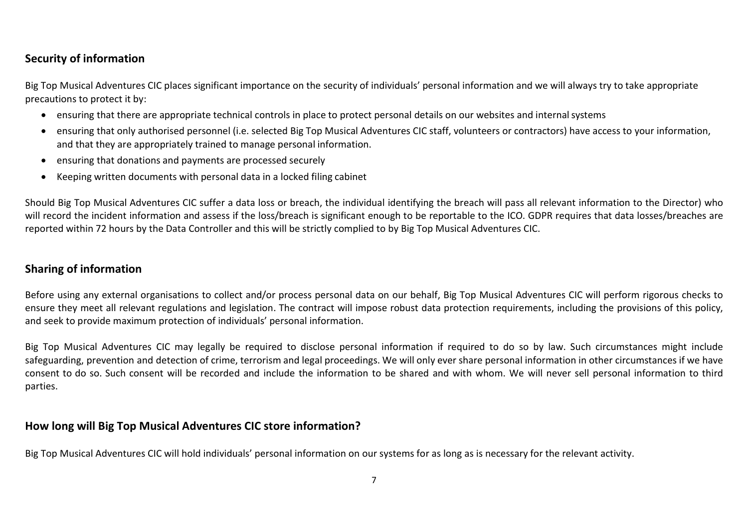# Security of information

Big Top Musical Adventures CIC places significant importance on the security of individuals' personal information and we will always try to take appropriate precautions to protect it by:

- ensuring that there are appropriate technical controls in place to protect personal details on our websites and internal systems
- ensuring that only authorised personnel (i.e. selected Big Top Musical Adventures CIC staff, volunteers or contractors) have access to your information, and that they are appropriately trained to manage personal information.
- ensuring that donations and payments are processed securely
- Keeping written documents with personal data in a locked filing cabinet

Should Big Top Musical Adventures CIC suffer a data loss or breach, the individual identifying the breach will pass all relevant information to the Director) who will record the incident information and assess if the loss/breach is significant enough to be reportable to the ICO. GDPR requires that data losses/breaches are reported within 72 hours by the Data Controller and this will be strictly complied to by Big Top Musical Adventures CIC.

# Sharing of information

Before using any external organisations to collect and/or process personal data on our behalf, Big Top Musical Adventures CIC will perform rigorous checks to ensure they meet all relevant regulations and legislation. The contract will impose robust data protection requirements, including the provisions of this policy, and seek to provide maximum protection of individuals' personal information.

Big Top Musical Adventures CIC may legally be required to disclose personal information if required to do so by law. Such circumstances might include safeguarding, prevention and detection of crime, terrorism and legal proceedings. We will only ever share personal information in other circumstances if we have consent to do so. Such consent will be recorded and include the information to be shared and with whom. We will never sell personal information to third parties.

# How long will Big Top Musical Adventures CIC store information?

Big Top Musical Adventures CIC will hold individuals' personal information on our systems for as long as is necessary for the relevant activity.